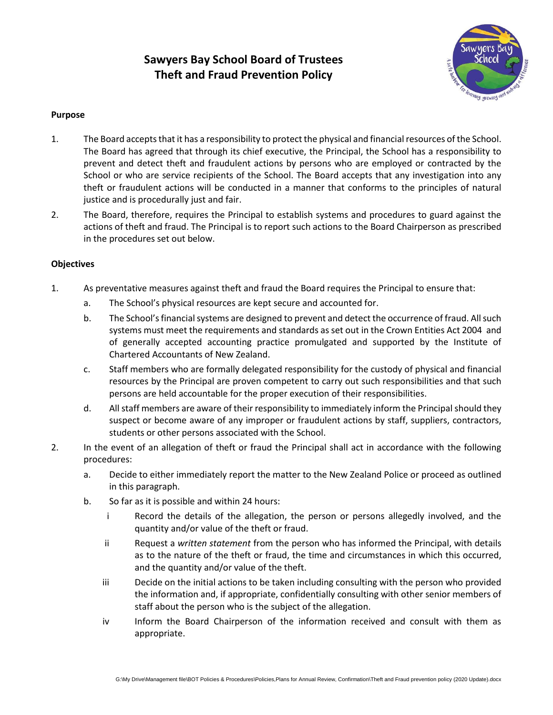# **Sawyers Bay School Board of Trustees Theft and Fraud Prevention Policy**



#### **Purpose**

- 1. The Board accepts that it has a responsibility to protect the physical and financial resources of the School. The Board has agreed that through its chief executive, the Principal, the School has a responsibility to prevent and detect theft and fraudulent actions by persons who are employed or contracted by the School or who are service recipients of the School. The Board accepts that any investigation into any theft or fraudulent actions will be conducted in a manner that conforms to the principles of natural justice and is procedurally just and fair.
- 2. The Board, therefore, requires the Principal to establish systems and procedures to guard against the actions of theft and fraud. The Principal is to report such actions to the Board Chairperson as prescribed in the procedures set out below.

#### **Objectives**

- 1. As preventative measures against theft and fraud the Board requires the Principal to ensure that:
	- a. The School's physical resources are kept secure and accounted for.
	- b. The School's financial systems are designed to prevent and detect the occurrence of fraud. All such systems must meet the requirements and standards as set out in the Crown Entities Act 2004 and of generally accepted accounting practice promulgated and supported by the Institute of Chartered Accountants of New Zealand.
	- c. Staff members who are formally delegated responsibility for the custody of physical and financial resources by the Principal are proven competent to carry out such responsibilities and that such persons are held accountable for the proper execution of their responsibilities.
	- d. All staff members are aware of their responsibility to immediately inform the Principal should they suspect or become aware of any improper or fraudulent actions by staff, suppliers, contractors, students or other persons associated with the School.
- 2. In the event of an allegation of theft or fraud the Principal shall act in accordance with the following procedures:
	- a. Decide to either immediately report the matter to the New Zealand Police or proceed as outlined in this paragraph.
	- b. So far as it is possible and within 24 hours:
		- i Record the details of the allegation, the person or persons allegedly involved, and the quantity and/or value of the theft or fraud.
		- ii Request a *written statement* from the person who has informed the Principal, with details as to the nature of the theft or fraud, the time and circumstances in which this occurred, and the quantity and/or value of the theft.
		- iii Decide on the initial actions to be taken including consulting with the person who provided the information and, if appropriate, confidentially consulting with other senior members of staff about the person who is the subject of the allegation.
		- iv Inform the Board Chairperson of the information received and consult with them as appropriate.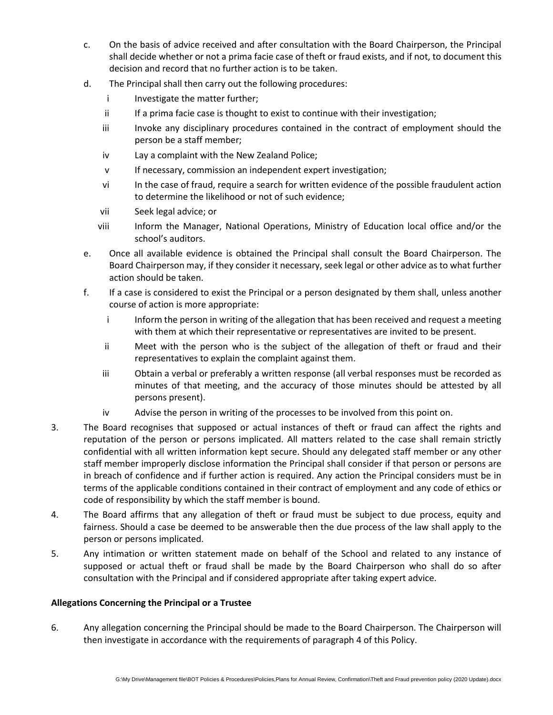- c. On the basis of advice received and after consultation with the Board Chairperson, the Principal shall decide whether or not a prima facie case of theft or fraud exists, and if not, to document this decision and record that no further action is to be taken.
- d. The Principal shall then carry out the following procedures:
	- i Investigate the matter further;
	- ii If a prima facie case is thought to exist to continue with their investigation;
	- iii Invoke any disciplinary procedures contained in the contract of employment should the person be a staff member;
	- iv Lay a complaint with the New Zealand Police;
	- v If necessary, commission an independent expert investigation;
	- vi In the case of fraud, require a search for written evidence of the possible fraudulent action to determine the likelihood or not of such evidence;
	- vii Seek legal advice; or
	- viii Inform the Manager, National Operations, Ministry of Education local office and/or the school's auditors.
- e. Once all available evidence is obtained the Principal shall consult the Board Chairperson. The Board Chairperson may, if they consider it necessary, seek legal or other advice as to what further action should be taken.
- f. If a case is considered to exist the Principal or a person designated by them shall, unless another course of action is more appropriate:
	- i Inform the person in writing of the allegation that has been received and request a meeting with them at which their representative or representatives are invited to be present.
	- ii Meet with the person who is the subject of the allegation of theft or fraud and their representatives to explain the complaint against them.
	- iii Obtain a verbal or preferably a written response (all verbal responses must be recorded as minutes of that meeting, and the accuracy of those minutes should be attested by all persons present).
	- iv Advise the person in writing of the processes to be involved from this point on.
- 3. The Board recognises that supposed or actual instances of theft or fraud can affect the rights and reputation of the person or persons implicated. All matters related to the case shall remain strictly confidential with all written information kept secure. Should any delegated staff member or any other staff member improperly disclose information the Principal shall consider if that person or persons are in breach of confidence and if further action is required. Any action the Principal considers must be in terms of the applicable conditions contained in their contract of employment and any code of ethics or code of responsibility by which the staff member is bound.
- 4. The Board affirms that any allegation of theft or fraud must be subject to due process, equity and fairness. Should a case be deemed to be answerable then the due process of the law shall apply to the person or persons implicated.
- 5. Any intimation or written statement made on behalf of the School and related to any instance of supposed or actual theft or fraud shall be made by the Board Chairperson who shall do so after consultation with the Principal and if considered appropriate after taking expert advice.

#### **Allegations Concerning the Principal or a Trustee**

6. Any allegation concerning the Principal should be made to the Board Chairperson. The Chairperson will then investigate in accordance with the requirements of paragraph 4 of this Policy.